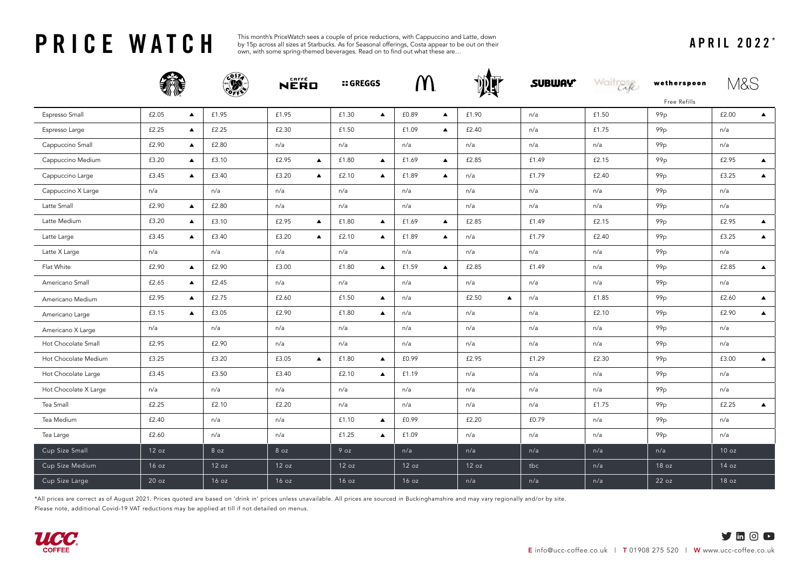**PRICE WATCH** APRIL 2022 \* This month's PriceWatch sees a couple of price reductions, with Cappuccino and Latte, down<br>APRIL 2022 \* APRIL 2022 \* own, with some spring-themed beverages. Read on to find out what these are... by 15p across all sizes at Starbucks. As for Seasonal offerings, Costa appear to be out on their own, with some spring-themed beverages. Read on to find out what these are…

|                       |                           |       | NERO                      | <b>:: GREGGS</b>          | M                         |                           | <b>SUBWAY</b> | Waitrase | wetherspoon                     | M&S                       |
|-----------------------|---------------------------|-------|---------------------------|---------------------------|---------------------------|---------------------------|---------------|----------|---------------------------------|---------------------------|
| Espresso Small        | £2.05<br>$\blacktriangle$ | £1.95 | £1.95                     | £1.30<br>$\blacktriangle$ | £0.89<br>$\blacktriangle$ | £1.90                     | n/a           | £1.50    | Free Refills<br>99 <sub>p</sub> | £2.00<br>$\blacktriangle$ |
| Espresso Large        | £2.25<br>$\blacktriangle$ | £2.25 | £2.30                     | £1.50                     | £1.09<br>$\blacktriangle$ | £2.40                     | n/a           | £1.75    | 99 <sub>p</sub>                 | n/a                       |
| Cappuccino Small      | £2.90<br>$\blacktriangle$ | £2.80 | n/a                       | n/a                       | n/a                       | n/a                       | n/a           | n/a      | 99p                             | n/a                       |
| Cappuccino Medium     | £3.20<br>$\blacktriangle$ | £3.10 | £2.95<br>$\blacktriangle$ | £1.80<br>$\blacktriangle$ | £1.69<br>$\blacktriangle$ | £2.85                     | £1.49         | £2.15    | 99 <sub>p</sub>                 | £2.95<br>$\blacktriangle$ |
| Cappuccino Large      | £3.45<br>▲                | £3.40 | £3.20<br>$\blacktriangle$ | £2.10<br>$\blacktriangle$ | £1.89<br>$\blacktriangle$ | n/a                       | £1.79         | £2.40    | 99 <sub>p</sub>                 | £3.25<br>$\blacktriangle$ |
| Cappuccino X Large    | n/a                       | n/a   | n/a                       | n/a                       | n/a                       | n/a                       | n/a           | n/a      | 99 <sub>p</sub>                 | n/a                       |
| Latte Small           | £2.90<br>$\blacktriangle$ | £2.80 | n/a                       | n/a                       | n/a                       | n/a                       | n/a           | n/a      | 99 <sub>p</sub>                 | n/a                       |
| Latte Medium          | £3.20<br>$\blacktriangle$ | £3.10 | £2.95<br>$\blacktriangle$ | £1.80<br>$\blacktriangle$ | £1.69<br>$\blacktriangle$ | £2.85                     | £1.49         | £2.15    | 99 <sub>p</sub>                 | £2.95<br>$\blacktriangle$ |
| Latte Large           | £3.45<br>$\blacktriangle$ | £3.40 | £3.20<br>$\blacktriangle$ | £2.10<br>$\blacktriangle$ | £1.89<br>$\blacktriangle$ | n/a                       | £1.79         | £2.40    | 99 <sub>p</sub>                 | £3.25<br>$\blacktriangle$ |
| Latte X Large         | n/a                       | n/a   | n/a                       | n/a                       | n/a                       | n/a                       | n/a           | n/a      | 99 <sub>p</sub>                 | n/a                       |
| Flat White            | £2.90<br>$\blacktriangle$ | £2.90 | £3.00                     | £1.80<br>$\blacktriangle$ | £1.59<br>$\blacktriangle$ | £2.85                     | £1.49         | n/a      | 99p                             | £2.85<br>$\blacktriangle$ |
| Americano Small       | £2.65<br>$\blacktriangle$ | £2.45 | n/a                       | n/a                       | n/a                       | n/a                       | n/a           | n/a      | 99 <sub>p</sub>                 | n/a                       |
| Americano Medium      | £2.95<br>$\blacktriangle$ | £2.75 | £2.60                     | £1.50<br>$\blacktriangle$ | n/a                       | £2.50<br>$\blacktriangle$ | n/a           | £1.85    | 99p                             | £2.60<br>$\blacktriangle$ |
| Americano Large       | £3.15<br>▲                | £3.05 | £2.90                     | £1.80<br>$\blacktriangle$ | n/a                       | n/a                       | n/a           | £2.10    | 99p                             | £2.90<br>$\blacktriangle$ |
| Americano X Large     | n/a                       | n/a   | n/a                       | n/a                       | n/a                       | n/a                       | n/a           | n/a      | 99 <sub>p</sub>                 | n/a                       |
| Hot Chocolate Small   | £2.95                     | £2.90 | n/a                       | n/a                       | n/a                       | n/a                       | n/a           | n/a      | 99 <sub>p</sub>                 | n/a                       |
| Hot Chocolate Medium  | £3.25                     | £3.20 | £3.05<br>$\blacktriangle$ | £1.80<br>$\blacktriangle$ | £0.99                     | £2.95                     | £1.29         | £2.30    | 99p                             | £3.00<br>$\blacktriangle$ |
| Hot Chocolate Large   | £3.45                     | £3.50 | £3.40                     | £2.10<br>$\blacktriangle$ | £1.19                     | n/a                       | n/a           | n/a      | 99 <sub>p</sub>                 | n/a                       |
| Hot Chocolate X Large | n/a                       | n/a   | n/a                       | n/a                       | n/a                       | n/a                       | n/a           | n/a      | 99 <sub>p</sub>                 | n/a                       |
| Tea Small             | £2.25                     | £2.10 | £2.20                     | n/a                       | n/a                       | n/a                       | n/a           | £1.75    | 99 <sub>p</sub>                 | £2.25<br>$\blacktriangle$ |
| Tea Medium            | £2.40                     | n/a   | n/a                       | £1.10<br>$\blacktriangle$ | £0.99                     | £2.20                     | £0.79         | n/a      | 99p                             | n/a                       |
| Tea Large             | £2.60                     | n/a   | n/a                       | £1.25<br>$\blacktriangle$ | £1.09                     | n/a                       | n/a           | n/a      | 99p                             | n/a                       |
| Cup Size Small        | 12 oz                     | 8 oz  | 8 oz                      | 9 oz                      | n/a                       | n/a                       | n/a           | n/a      | n/a                             | 10 oz                     |
|                       |                           | 12 oz | 12 oz                     | 12 oz                     | 12 oz                     | 12 oz                     | tbc           | n/a      | 18 oz                           | 14 oz                     |
| Cup Size Medium       | 16 oz                     |       |                           |                           |                           |                           |               |          |                                 |                           |
| Cup Size Large        | 20 oz                     | 16 oz | 16 oz                     | 16 oz                     | 16 oz                     | n/a                       | n/a           | n/a      | 22 oz                           | 18 oz                     |

\*All prices are correct as of August 2021. Prices quoted are based on 'drink in' prices unless unavailable. All prices are sourced in Buckinghamshire and may vary regionally and/or by site.

Please note, additional Covid-19 VAT reductions may be applied at till if not detailed on menus.